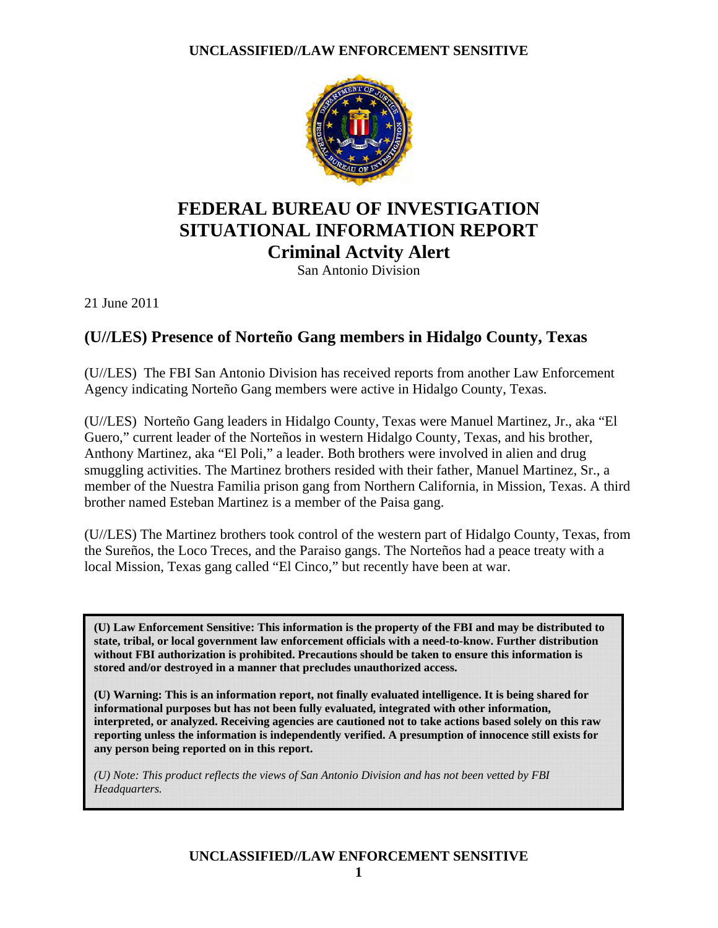

## **FEDERAL BUREAU OF INVESTIGATION SITUATIONAL INFORMATION REPORT Criminal Actvity Alert**

San Antonio Division

21 June 2011

## **(U//LES) Presence of Norteño Gang members in Hidalgo County, Texas**

(U//LES) The FBI San Antonio Division has received reports from another Law Enforcement Agency indicating Norteño Gang members were active in Hidalgo County, Texas.

(U//LES) Norteño Gang leaders in Hidalgo County, Texas were Manuel Martinez, Jr., aka "El Guero," current leader of the Norteños in western Hidalgo County, Texas, and his brother, Anthony Martinez, aka "El Poli," a leader. Both brothers were involved in alien and drug smuggling activities. The Martinez brothers resided with their father, Manuel Martinez, Sr., a member of the Nuestra Familia prison gang from Northern California, in Mission, Texas. A third brother named Esteban Martinez is a member of the Paisa gang.

(U//LES) The Martinez brothers took control of the western part of Hidalgo County, Texas, from the Sureños, the Loco Treces, and the Paraiso gangs. The Norteños had a peace treaty with a local Mission, Texas gang called "El Cinco," but recently have been at war.

**(U) Law Enforcement Sensitive: This information is the property of the FBI and may be distributed to state, tribal, or local government law enforcement officials with a need-to-know. Further distribution without FBI authorization is prohibited. Precautions should be taken to ensure this information is stored and/or destroyed in a manner that precludes unauthorized access.** 

**(U) Warning: This is an information report, not finally evaluated intelligence. It is being shared for informational purposes but has not been fully evaluated, integrated with other information, interpreted, or analyzed. Receiving agencies are cautioned not to take actions based solely on this raw reporting unless the information is independently verified. A presumption of innocence still exists for any person being reported on in this report.** 

*(U) Note: This product reflects the views of San Antonio Division and has not been vetted by FBI Headquarters.*